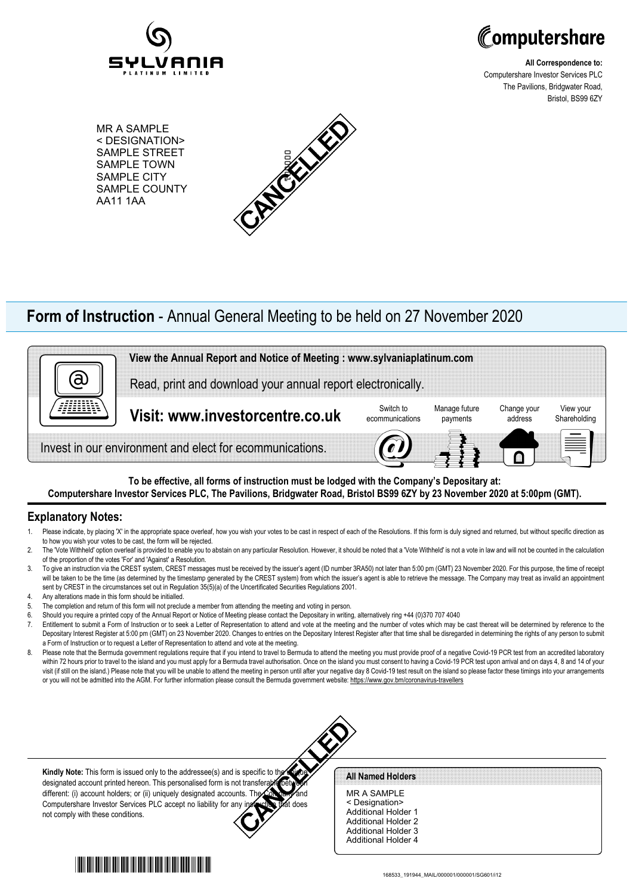



**All Correspondence to:** Computershare Investor Services PLC The Pavilions, Bridgwater Road, Bristol, BS99 6ZY

MR A SAMPLE < DESIGNATION> SAMPLE STREET SAMPLE TOWN SAMPLE CITY SAMPLE COUNTY AA11 1AA



## **Form of Instruction** - Annual General Meeting to be held on 27 November 2020



**To be effective, all forms of instruction must be lodged with the Company's Depositary at: Computershare Investor Services PLC, The Pavilions, Bridgwater Road, Bristol BS99 6ZY by 23 November 2020 at 5:00pm (GMT).**

## **Explanatory Notes:**

- 1. Please indicate, by placing 'X' in the appropriate space overleaf, how you wish your votes to be cast in respect of each of the Resolutions. If this form is duly signed and returned, but without specific direction as to how you wish your votes to be cast, the form will be rejected.
- 2. The 'Vote Withheld' option overleaf is provided to enable you to abstain on any particular Resolution. However, it should be noted that a 'Vote Withheld' is not a vote in law and will not be counted in the calculation of the proportion of the votes 'For' and 'Against' a Resolution.
- 3. To give an instruction via the CREST system, CREST messages must be received by the issuer's agent (ID number 3RA50) not later than 5:00 pm (GMT) 23 November 2020. For this purpose, the time of receipt will be taken to be the time (as determined by the timestamp generated by the CREST system) from which the issuer's agent is able to retrieve the message. The Company may treat as invalid an appointment sent by CREST in the circumstances set out in Regulation 35(5)(a) of the Uncertificated Securities Regulations 2001.
- 4. Any alterations made in this form should be initialled.
- 5. The completion and return of this form will not preclude a member from attending the meeting and voting in person.
- 6. Should you require a printed copy of the Annual Report or Notice of Meeting please contact the Depositary in writing, alternatively ring +44 (0)370 707 4040
- 7. Entitlement to submit a Form of Instruction or to seek a Letter of Representation to attend and vote at the meeting and the number of votes which may be cast thereat will be determined by reference to the Depositary Interest Register at 5:00 pm (GMT) on 23 November 2020. Changes to entries on the Depositary Interest Register after that time shall be disregarded in determining the rights of any person to submit a Form of Instruction or to request a Letter of Representation to attend and vote at the meeting.
- 8. Please note that the Bermuda government regulations require that if you intend to travel to Bermuda to attend the meeting you must provide proof of a negative Covid-19 PCR test from an accredited laboratory within 72 hours prior to travel to the island and you must apply for a Bermuda travel authorisation. Once on the island you must consent to having a Covid-19 PCR test upon arrival and on days 4, 8 and 14 of your visit (if still on the island.) Please note that you will be unable to attend the meeting in person until after your negative day 8 Covid-19 test result on the island so please factor these timings into your arrangements or you will not be admitted into the AGM. For further information please consult the Bermuda government website: https://www.gov.bm/coronavirus-travellers